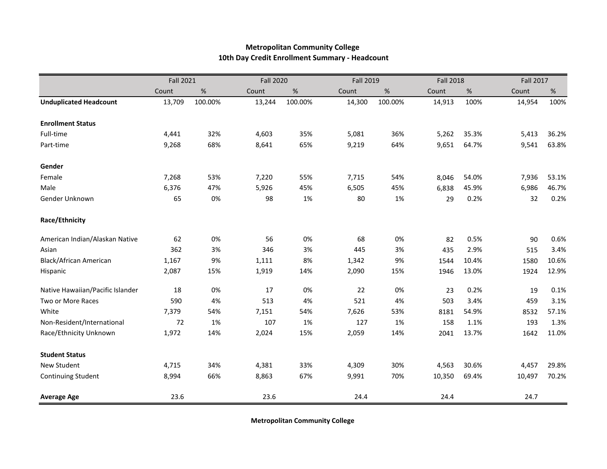## **Metropolitan Community College 10th Day Credit Enrollment Summary - Headcount**

|                                  | <b>Fall 2021</b> |         |        | <b>Fall 2020</b> |        | <b>Fall 2019</b> |        | <b>Fall 2018</b> |        | <b>Fall 2017</b> |  |
|----------------------------------|------------------|---------|--------|------------------|--------|------------------|--------|------------------|--------|------------------|--|
|                                  | Count            | $\%$    | Count  | $\%$             | Count  | $\%$             | Count  | $\%$             | Count  | $\%$             |  |
| <b>Unduplicated Headcount</b>    | 13,709           | 100.00% | 13,244 | 100.00%          | 14,300 | 100.00%          | 14,913 | 100%             | 14,954 | 100%             |  |
| <b>Enrollment Status</b>         |                  |         |        |                  |        |                  |        |                  |        |                  |  |
| Full-time                        | 4,441            | 32%     | 4,603  | 35%              | 5,081  | 36%              | 5,262  | 35.3%            | 5,413  | 36.2%            |  |
| Part-time                        | 9,268            | 68%     | 8,641  | 65%              | 9,219  | 64%              | 9,651  | 64.7%            | 9,541  | 63.8%            |  |
| Gender                           |                  |         |        |                  |        |                  |        |                  |        |                  |  |
| Female                           | 7,268            | 53%     | 7,220  | 55%              | 7,715  | 54%              | 8,046  | 54.0%            | 7,936  | 53.1%            |  |
| Male                             | 6,376            | 47%     | 5,926  | 45%              | 6,505  | 45%              | 6,838  | 45.9%            | 6,986  | 46.7%            |  |
| Gender Unknown                   | 65               | 0%      | 98     | 1%               | 80     | 1%               | 29     | 0.2%             | 32     | 0.2%             |  |
| Race/Ethnicity                   |                  |         |        |                  |        |                  |        |                  |        |                  |  |
| American Indian/Alaskan Native   | 62               | 0%      | 56     | 0%               | 68     | 0%               | 82     | 0.5%             | 90     | 0.6%             |  |
| Asian                            | 362              | 3%      | 346    | 3%               | 445    | 3%               | 435    | 2.9%             | 515    | 3.4%             |  |
| Black/African American           | 1,167            | 9%      | 1,111  | 8%               | 1,342  | 9%               | 1544   | 10.4%            | 1580   | 10.6%            |  |
| Hispanic                         | 2,087            | 15%     | 1,919  | 14%              | 2,090  | 15%              | 1946   | 13.0%            | 1924   | 12.9%            |  |
| Native Hawaiian/Pacific Islander | 18               | 0%      | 17     | 0%               | 22     | 0%               | 23     | 0.2%             | 19     | 0.1%             |  |
| Two or More Races                | 590              | 4%      | 513    | 4%               | 521    | 4%               | 503    | 3.4%             | 459    | 3.1%             |  |
| White                            | 7,379            | 54%     | 7,151  | 54%              | 7,626  | 53%              | 8181   | 54.9%            | 8532   | 57.1%            |  |
| Non-Resident/International       | 72               | 1%      | 107    | 1%               | 127    | 1%               | 158    | 1.1%             | 193    | 1.3%             |  |
| Race/Ethnicity Unknown           | 1,972            | 14%     | 2,024  | 15%              | 2,059  | 14%              | 2041   | 13.7%            | 1642   | 11.0%            |  |
| <b>Student Status</b>            |                  |         |        |                  |        |                  |        |                  |        |                  |  |
| <b>New Student</b>               | 4,715            | 34%     | 4,381  | 33%              | 4,309  | 30%              | 4,563  | 30.6%            | 4,457  | 29.8%            |  |
| <b>Continuing Student</b>        | 8,994            | 66%     | 8,863  | 67%              | 9,991  | 70%              | 10,350 | 69.4%            | 10,497 | 70.2%            |  |
| <b>Average Age</b>               | 23.6             |         | 23.6   |                  | 24.4   |                  | 24.4   |                  | 24.7   |                  |  |

**Metropolitan Community College**